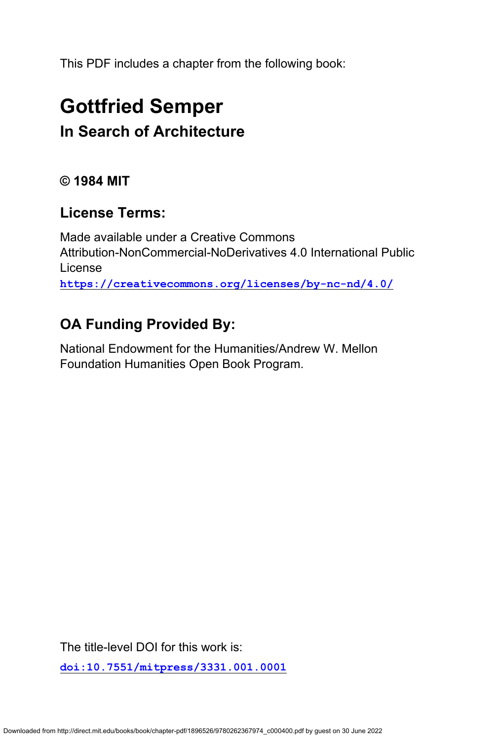This PDF includes a chapter from the following book:

# **Gottfried Semper**

## **In Search of Architecture**

#### **© 1984 MIT**

### **License Terms:**

Made available under a Creative Commons Attribution-NonCommercial-NoDerivatives 4.0 International Public License **<https://creativecommons.org/licenses/by-nc-nd/4.0/>**

## **OA Funding Provided By:**

National Endowment for the Humanities/Andrew W. Mellon Foundation Humanities Open Book Program.

The title-level DOI for this work is:

**[doi:10.7551/mitpress/3331.001.0001](https://doi.org/10.7551/mitpress/3331.001.0001)**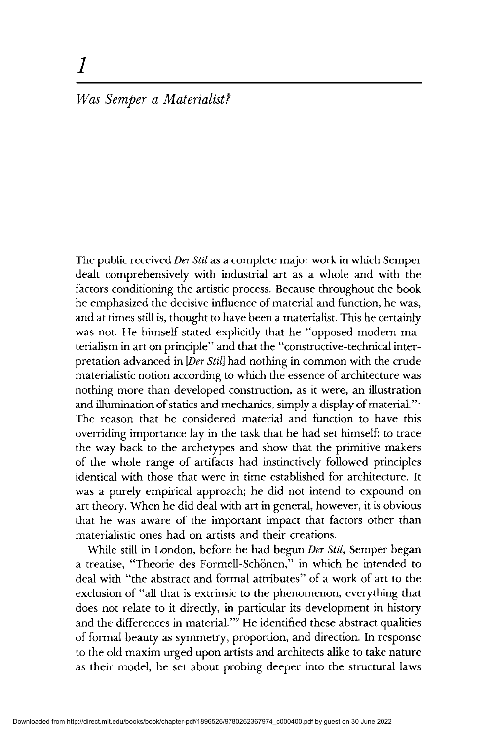*Was Semper a Materialist?*

The public received *Der Stil* as a complete major work in which Semper dealt comprehensively with industrial art as a whole and with the factors conditioning the artistic process. Because throughout the book he emphasized the decisive influence of material and function, he was, and at times still is, thought to have been a materialist. This he certainly was not. He himself stated explicitly that he "opposed modem ma terialism in art on principle" and that the "constructive-technical inter pretation advanced in *[Der Stil]* had nothing in common with the crude materialistic notion according to which the essence of architecture was nothing more than developed construction, as it were, an illustration and illumination of statics and mechanics, simply a display of material."1 The reason that he considered material and function to have this overriding importance lay in the task that he had set himself: to trace the way back to the archetypes and show that the primitive makers of the whole range of artifacts had instinctively followed principles identical with those that were in time established for architecture. It was a purely empirical approach; he did not intend to expound on art theory. When he did deal with art in general, however, it is obvious that he was aware of the important impact that factors other than materialistic ones had on artists and their creations.

While still in London, before he had begun *Der Stil*, Semper began a treatise, "Theorie des Formell-Schönen," in which he intended to deal with "the abstract and formal attributes" of a work of art to the exclusion of "all that is extrinsic to the phenomenon, everything that does not relate to it directly, in particular its development in history and the differences in material."<sup>2</sup> He identified these abstract qualities of formal beauty as symmetry, proportion, and direction. In response to the old maxim urged upon artists and architects alike to take nature as their model, he set about probing deeper into the structural laws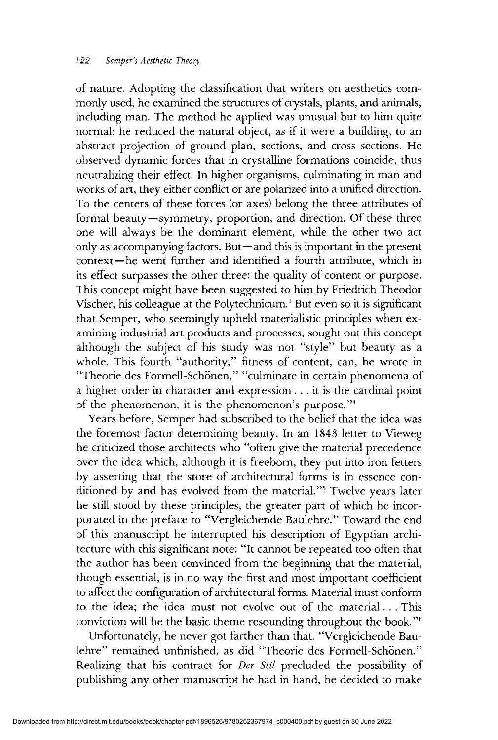of nature. Adopting the classification that writers on aesthetics com monly used, he examined the structures of crystals, plants, and animals, including man. The method he applied was unusual but to him quite normal: he reduced the natural object, as if it were a building, to an abstract projection of ground plan, sections, and cross sections. He observed dynamic forces that in crystalline formations coincide, thus neutralizing their effect. In higher organisms, culminating in man and works of art, they either conflict or are polarized into a unified direction. To the centers of these forces (or axes) belong the three attributes of formal beauty—symmetry, proportion, and direction. Of these three one will always be the dominant element, while the other two act only as accompanying factors. But—and this is important in the present context—he went further and identified a fourth attribute, which in its effect surpasses the other three: the quality of content or purpose. This concept might have been suggested to him by Friedrich Theodor Vischer, his colleague at the Polytechnicum.3 But even so it is significant that Semper, who seemingly upheld materialistic principles when examining industrial art products and processes, sought out this concept although the subject of his study was not "style" but beauty as a whole. This fourth "authority," fitness of content, can, he wrote in "Theorie des Formell-Schönen," "culminate in certain phenomena of a higher order in character and expression . . . it is the cardinal point of the phenomenon, it is the phenomenon's purpose."4

Years before, Semper had subscribed to the belief that the idea was the foremost factor determining beauty. In an 1843 letter to Vieweg he criticized those architects who "often give the material precedence over the idea which, although it is freeborn, they put into iron fetters by asserting that the store of architectural forms is in essence conditioned by and has evolved from the material."5 Twelve years later he still stood by these principles, the greater part of which he incorporated in the preface to "Vergleichende Baulehre." Toward the end of this manuscript he interrupted his description of Egyptian architecture with this significant note: "It cannot be repeated too often that the author has been convinced from the beginning that the material, though essential, is in no way the first and most important coefficient to affect the configuration of architectural forms. Material must conform to the idea; the idea must not evolve out of the material. . . This conviction will be the basic theme resounding throughout the book."6

Unfortunately, he never got farther than that. "Vergleichende Baulehre" remained unfinished, as did "Theorie des Formell-Schönen." Realizing that his contract for *Der Stil* precluded the possibility of publishing any other manuscript he had in hand, he decided to make